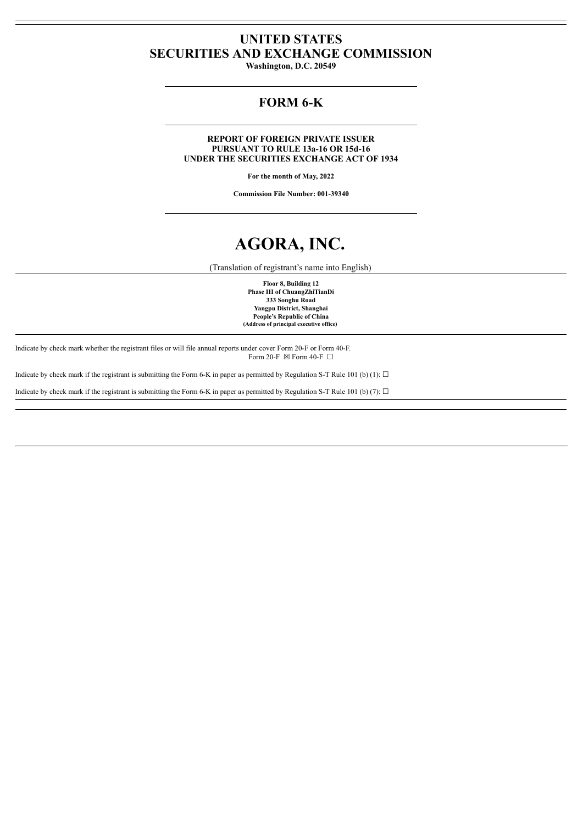# **UNITED STATES SECURITIES AND EXCHANGE COMMISSION**

**Washington, D.C. 20549**

# **FORM 6-K**

**REPORT OF FOREIGN PRIVATE ISSUER PURSUANT TO RULE 13a-16 OR 15d-16 UNDER THE SECURITIES EXCHANGE ACT OF 1934**

**For the month of May, 2022**

**Commission File Number: 001-39340**

# **AGORA, INC.**

(Translation of registrant's name into English)

**Floor 8, Building 12 Phase III of ChuangZhiTianDi 333 Songhu Road Yangpu District, Shanghai People's Republic of China (Address of principal executive office)**

Indicate by check mark whether the registrant files or will file annual reports under cover Form 20-F or Form 40-F. Form 20-F  $\boxtimes$  Form 40-F  $\Box$ 

Indicate by check mark if the registrant is submitting the Form 6-K in paper as permitted by Regulation S-T Rule 101 (b) (1):  $\Box$ 

Indicate by check mark if the registrant is submitting the Form 6-K in paper as permitted by Regulation S-T Rule 101 (b) (7):  $\Box$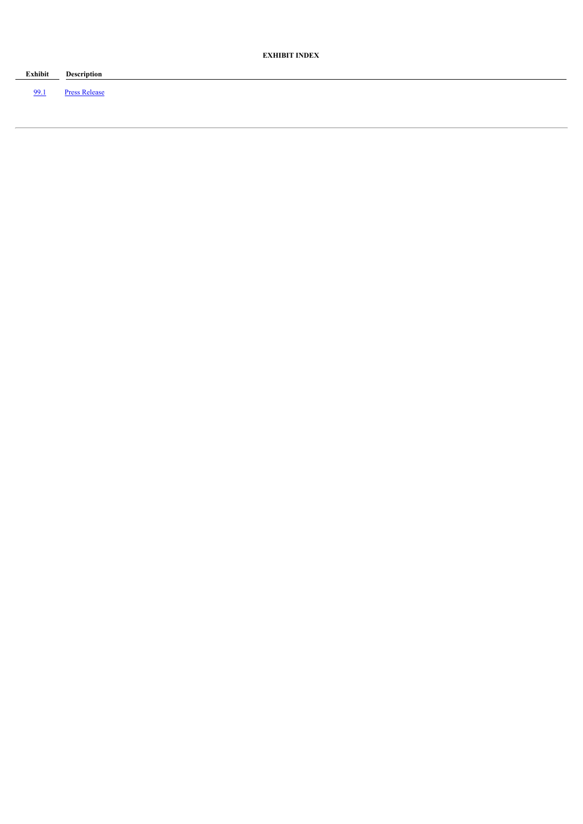| Exhibit<br>the control of the control of the control of the control of the control of | Description          |
|---------------------------------------------------------------------------------------|----------------------|
| -99                                                                                   | <b>Press Release</b> |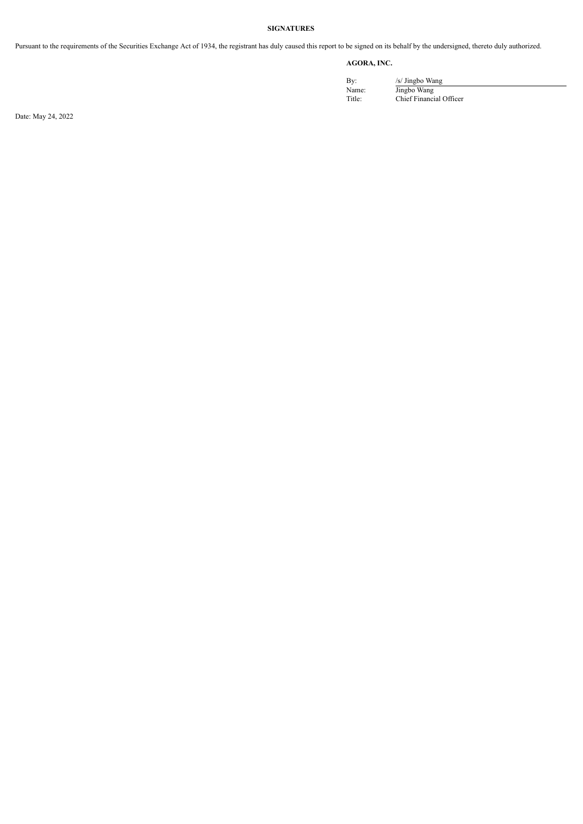## **SIGNATURES**

Pursuant to the requirements of the Securities Exchange Act of 1934, the registrant has duly caused this report to be signed on its behalf by the undersigned, thereto duly authorized.

## **AGORA, INC.**

By: /s/ Jingbo Wang Name: Jingbo Wang Title: Chief Financial Officer

Date: May 24, 2022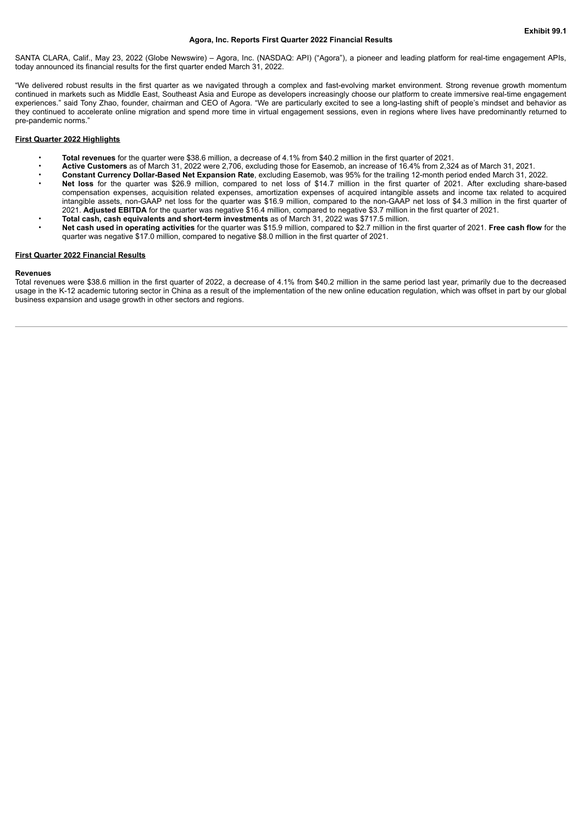#### **Agora, Inc. Reports First Quarter 2022 Financial Results**

<span id="page-3-0"></span>SANTA CLARA, Calif., May 23, 2022 (Globe Newswire) – Agora, Inc. (NASDAQ: API) ("Agora"), a pioneer and leading platform for real-time engagement APIs, today announced its financial results for the first quarter ended March 31, 2022.

"We delivered robust results in the first quarter as we navigated through a complex and fast-evolving market environment. Strong revenue growth momentum continued in markets such as Middle East, Southeast Asia and Europe as developers increasingly choose our platform to create immersive real-time engagement experiences." said Tony Zhao, founder, chairman and CEO of Agora. "We are particularly excited to see a long-lasting shift of people's mindset and behavior as they continued to accelerate online migration and spend more time in virtual engagement sessions, even in regions where lives have predominantly returned to pre-pandemic norms."

#### **First Quarter 2022 Highlights**

- **Total revenues** for the quarter were \$38.6 million, a decrease of 4.1% from \$40.2 million in the first quarter of 2021.
- **Active Customers** as of March 31, 2022 were 2,706, excluding those for Easemob, an increase of 16.4% from 2,324 as of March 31, 2021.
- **Constant Currency Dollar-Based Net Expansion Rate**, excluding Easemob, was 95% for the trailing 12-month period ended March 31, 2022. • **Net loss** for the quarter was \$26.9 million, compared to net loss of \$14.7 million in the first quarter of 2021. After excluding share-based compensation expenses, acquisition related expenses, amortization expenses of acquired intangible assets and income tax related to acquired intangible assets, non-GAAP net loss for the quarter was \$16.9 million, compared to the non-GAAP net loss of \$4.3 million in the first quarter of
- 2021. **Adjusted EBITDA** for the quarter was negative \$16.4 million, compared to negative \$3.7 million in the first quarter of 2021.
- **Total cash, cash equivalents and short-term investments** as of March 31, 2022 was \$717.5 million. • **Net cash used in operating activities** for the quarter was \$15.9 million, compared to \$2.7 million in the first quarter of 2021. **Free cash flow** for the quarter was negative \$17.0 million, compared to negative \$8.0 million in the first quarter of 2021.

#### **First Quarter 2022 Financial Results**

#### **Revenues**

Total revenues were \$38.6 million in the first quarter of 2022, a decrease of 4.1% from \$40.2 million in the same period last year, primarily due to the decreased usage in the K-12 academic tutoring sector in China as a result of the implementation of the new online education regulation, which was offset in part by our global business expansion and usage growth in other sectors and regions.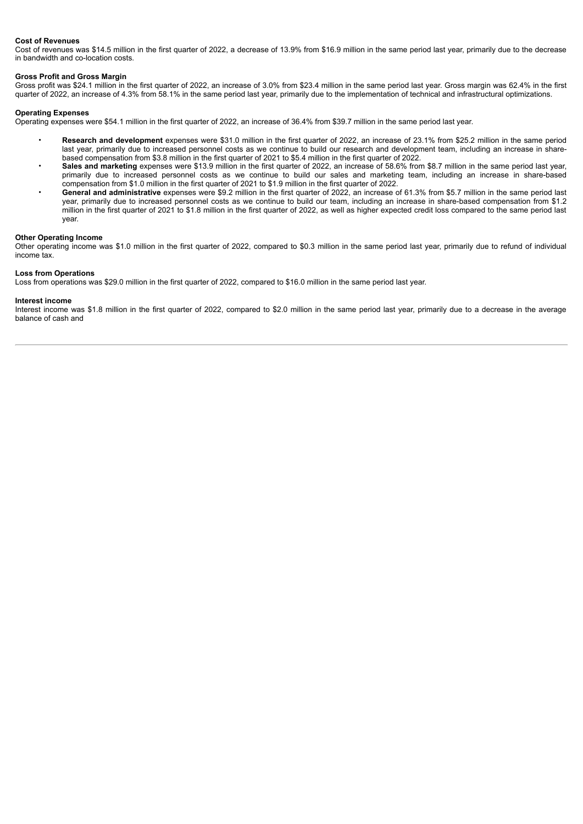#### **Cost of Revenues**

Cost of revenues was \$14.5 million in the first quarter of 2022, a decrease of 13.9% from \$16.9 million in the same period last year, primarily due to the decrease in bandwidth and co-location costs.

#### **Gross Profit and Gross Margin**

Gross profit was \$24.1 million in the first quarter of 2022, an increase of 3.0% from \$23.4 million in the same period last year. Gross margin was 62.4% in the first quarter of 2022, an increase of 4.3% from 58.1% in the same period last year, primarily due to the implementation of technical and infrastructural optimizations.

#### **Operating Expenses**

Operating expenses were \$54.1 million in the first quarter of 2022, an increase of 36.4% from \$39.7 million in the same period last year.

- **Research and development** expenses were \$31.0 million in the first quarter of 2022, an increase of 23.1% from \$25.2 million in the same period last year, primarily due to increased personnel costs as we continue to build our research and development team, including an increase in sharebased compensation from \$3.8 million in the first quarter of 2021 to \$5.4 million in the first quarter of 2022.
- **Sales and marketing** expenses were \$13.9 million in the first quarter of 2022, an increase of 58.6% from \$8.7 million in the same period last year, primarily due to increased personnel costs as we continue to build our sales and marketing team, including an increase in share-based compensation from \$1.0 million in the first quarter of 2021 to \$1.9 million in the first quarter of 2022.
- **General and administrative** expenses were \$9.2 million in the first quarter of 2022, an increase of 61.3% from \$5.7 million in the same period last year, primarily due to increased personnel costs as we continue to build our team, including an increase in share-based compensation from \$1.2 million in the first quarter of 2021 to \$1.8 million in the first quarter of 2022, as well as higher expected credit loss compared to the same period last year.

#### **Other Operating Income**

Other operating income was \$1.0 million in the first quarter of 2022, compared to \$0.3 million in the same period last year, primarily due to refund of individual income tax.

#### **Loss from Operations**

Loss from operations was \$29.0 million in the first quarter of 2022, compared to \$16.0 million in the same period last year.

#### **Interest income**

Interest income was \$1.8 million in the first quarter of 2022, compared to \$2.0 million in the same period last year, primarily due to a decrease in the average balance of cash and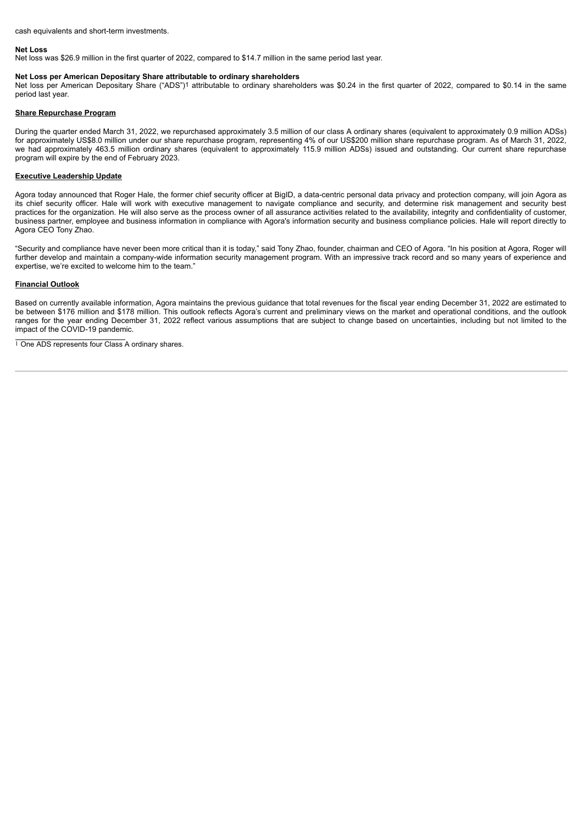cash equivalents and short-term investments.

#### **Net Loss**

Net loss was \$26.9 million in the first quarter of 2022, compared to \$14.7 million in the same period last year.

#### **Net Loss per American Depositary Share attributable to ordinary shareholders**

Net loss per American Depositary Share ("ADS")1 attributable to ordinary shareholders was \$0.24 in the first quarter of 2022, compared to \$0.14 in the same period last year.

#### **Share Repurchase Program**

During the quarter ended March 31, 2022, we repurchased approximately 3.5 million of our class A ordinary shares (equivalent to approximately 0.9 million ADSs) for approximately US\$8.0 million under our share repurchase program, representing 4% of our US\$200 million share repurchase program. As of March 31, 2022, we had approximately 463.5 million ordinary shares (equivalent to approximately 115.9 million ADSs) issued and outstanding. Our current share repurchase program will expire by the end of February 2023.

#### **Executive Leadership Update**

Agora today announced that Roger Hale, the former chief security officer at BigID, a data-centric personal data privacy and protection company, will join Agora as its chief security officer. Hale will work with executive management to navigate compliance and security, and determine risk management and security best practices for the organization. He will also serve as the process owner of all assurance activities related to the availability, integrity and confidentiality of customer, business partner, employee and business information in compliance with Agora's information security and business compliance policies. Hale will report directly to Agora CEO Tony Zhao.

"Security and compliance have never been more critical than it is today," said Tony Zhao, founder, chairman and CEO of Agora. "In his position at Agora, Roger will further develop and maintain a company-wide information security management program. With an impressive track record and so many years of experience and expertise, we're excited to welcome him to the team."

#### **Financial Outlook**

Based on currently available information, Agora maintains the previous guidance that total revenues for the fiscal year ending December 31, 2022 are estimated to be between \$176 million and \$178 million. This outlook reflects Agora's current and preliminary views on the market and operational conditions, and the outlook ranges for the year ending December 31, 2022 reflect various assumptions that are subject to change based on uncertainties, including but not limited to the impact of the COVID-19 pandemic.

<sup>1</sup> One ADS represents four Class A ordinary shares.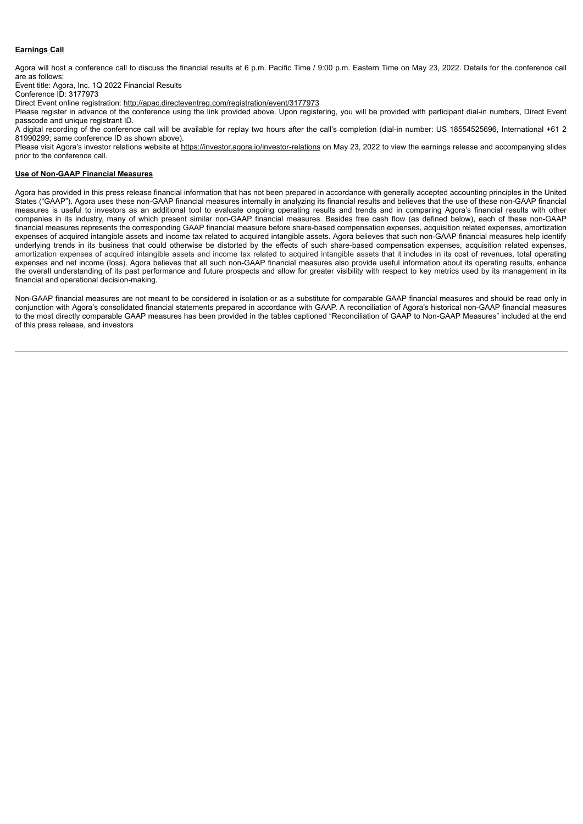### **Earnings Call**

Agora will host a conference call to discuss the financial results at 6 p.m. Pacific Time / 9:00 p.m. Eastern Time on May 23, 2022. Details for the conference call are as follows:

Event title: Agora, Inc. 1Q 2022 Financial Results

Conference ID: 3177973

Direct Event online registration: http://apac.directeventreg.com/registration/event/3177973

Please register in advance of the conference using the link provided above. Upon registering, you will be provided with participant dial-in numbers, Direct Event passcode and unique registrant ID.

A digital recording of the conference call will be available for replay two hours after the call's completion (dial-in number: US 18554525696, International +61 2 81990299; same conference ID as shown above).

Please visit Agora's investor relations website at https://investor.agora.io/investor-relations on May 23, 2022 to view the earnings release and accompanying slides prior to the conference call.

#### **Use of Non-GAAP Financial Measures**

Agora has provided in this press release financial information that has not been prepared in accordance with generally accepted accounting principles in the United States ("GAAP"). Agora uses these non-GAAP financial measures internally in analyzing its financial results and believes that the use of these non-GAAP financial measures is useful to investors as an additional tool to evaluate ongoing operating results and trends and in comparing Agora's financial results with other companies in its industry, many of which present similar non-GAAP financial measures. Besides free cash flow (as defined below), each of these non-GAAP financial measures represents the corresponding GAAP financial measure before share-based compensation expenses, acquisition related expenses, amortization expenses of acquired intangible assets and income tax related to acquired intangible assets. Agora believes that such non-GAAP financial measures help identify underlying trends in its business that could otherwise be distorted by the effects of such share-based compensation expenses, acquisition related expenses, amortization expenses of acquired intangible assets and income tax related to acquired intangible assets that it includes in its cost of revenues, total operating expenses and net income (loss). Agora believes that all such non-GAAP financial measures also provide useful information about its operating results, enhance the overall understanding of its past performance and future prospects and allow for greater visibility with respect to key metrics used by its management in its financial and operational decision-making.

Non-GAAP financial measures are not meant to be considered in isolation or as a substitute for comparable GAAP financial measures and should be read only in conjunction with Agora's consolidated financial statements prepared in accordance with GAAP. A reconciliation of Agora's historical non-GAAP financial measures to the most directly comparable GAAP measures has been provided in the tables captioned "Reconciliation of GAAP to Non-GAAP Measures" included at the end of this press release, and investors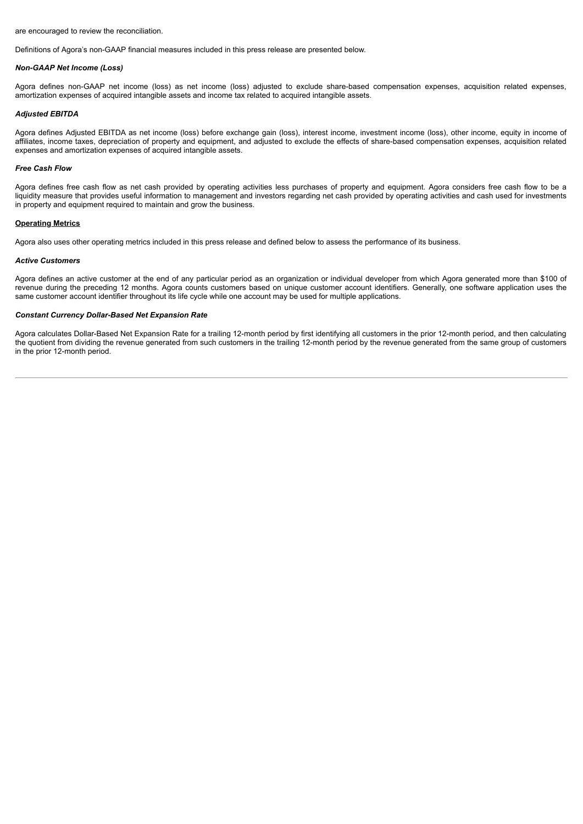are encouraged to review the reconciliation.

Definitions of Agora's non-GAAP financial measures included in this press release are presented below.

#### *Non-GAAP Net Income (Loss)*

Agora defines non-GAAP net income (loss) as net income (loss) adjusted to exclude share-based compensation expenses, acquisition related expenses, amortization expenses of acquired intangible assets and income tax related to acquired intangible assets.

#### *Adjusted EBITDA*

Agora defines Adjusted EBITDA as net income (loss) before exchange gain (loss), interest income, investment income (loss), other income, equity in income of affiliates, income taxes, depreciation of property and equipment, and adjusted to exclude the effects of share-based compensation expenses, acquisition related expenses and amortization expenses of acquired intangible assets.

#### *Free Cash Flow*

Agora defines free cash flow as net cash provided by operating activities less purchases of property and equipment. Agora considers free cash flow to be a liquidity measure that provides useful information to management and investors regarding net cash provided by operating activities and cash used for investments in property and equipment required to maintain and grow the business.

#### **Operating Metrics**

Agora also uses other operating metrics included in this press release and defined below to assess the performance of its business.

#### *Active Customers*

Agora defines an active customer at the end of any particular period as an organization or individual developer from which Agora generated more than \$100 of revenue during the preceding 12 months. Agora counts customers based on unique customer account identifiers. Generally, one software application uses the same customer account identifier throughout its life cycle while one account may be used for multiple applications.

#### *Constant Currency Dollar-Based Net Expansion Rate*

Agora calculates Dollar-Based Net Expansion Rate for a trailing 12-month period by first identifying all customers in the prior 12-month period, and then calculating the quotient from dividing the revenue generated from such customers in the trailing 12-month period by the revenue generated from the same group of customers in the prior 12-month period.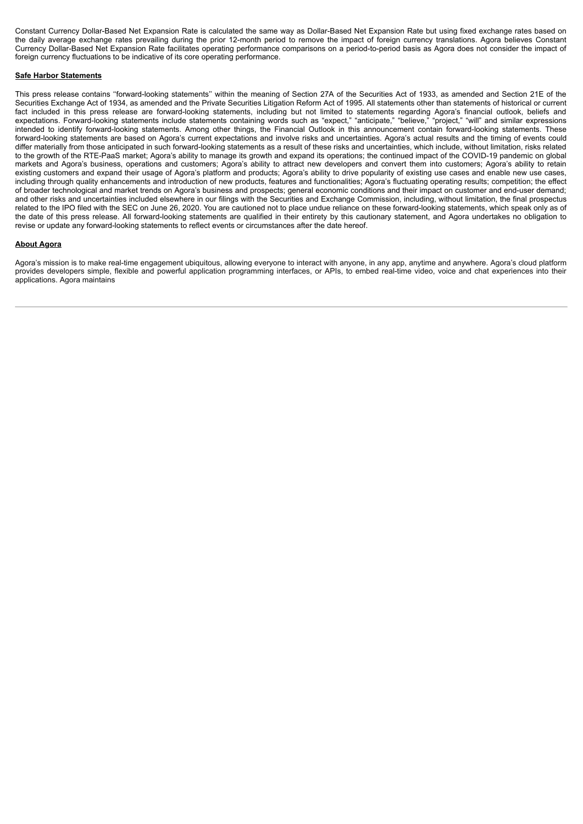Constant Currency Dollar-Based Net Expansion Rate is calculated the same way as Dollar-Based Net Expansion Rate but using fixed exchange rates based on the daily average exchange rates prevailing during the prior 12-month period to remove the impact of foreign currency translations. Agora believes Constant Currency Dollar-Based Net Expansion Rate facilitates operating performance comparisons on a period-to-period basis as Agora does not consider the impact of foreign currency fluctuations to be indicative of its core operating performance.

#### **Safe Harbor Statements**

This press release contains ''forward-looking statements'' within the meaning of Section 27A of the Securities Act of 1933, as amended and Section 21E of the Securities Exchange Act of 1934, as amended and the Private Securities Litigation Reform Act of 1995. All statements other than statements of historical or current fact included in this press release are forward-looking statements, including but not limited to statements regarding Agora's financial outlook, beliefs and expectations. Forward-looking statements include statements containing words such as "expect," "anticipate," "believe," "project," "will" and similar expressions intended to identify forward-looking statements. Among other things, the Financial Outlook in this announcement contain forward-looking statements. These forward-looking statements are based on Agora's current expectations and involve risks and uncertainties. Agora's actual results and the timing of events could differ materially from those anticipated in such forward-looking statements as a result of these risks and uncertainties, which include, without limitation, risks related to the growth of the RTE-PaaS market; Agora's ability to manage its growth and expand its operations; the continued impact of the COVID-19 pandemic on global markets and Agora's business, operations and customers; Agora's ability to attract new developers and convert them into customers; Agora's ability to retain existing customers and expand their usage of Agora's platform and products; Agora's ability to drive popularity of existing use cases and enable new use cases, including through quality enhancements and introduction of new products, features and functionalities; Agora's fluctuating operating results; competition; the effect of broader technological and market trends on Agora's business and prospects; general economic conditions and their impact on customer and end-user demand; and other risks and uncertainties included elsewhere in our filings with the Securities and Exchange Commission, including, without limitation, the final prospectus related to the IPO filed with the SEC on June 26, 2020. You are cautioned not to place undue reliance on these forward-looking statements, which speak only as of the date of this press release. All forward-looking statements are qualified in their entirety by this cautionary statement, and Agora undertakes no obligation to revise or update any forward-looking statements to reflect events or circumstances after the date hereof.

#### **About Agora**

Agora's mission is to make real-time engagement ubiquitous, allowing everyone to interact with anyone, in any app, anytime and anywhere. Agora's cloud platform provides developers simple, flexible and powerful application programming interfaces, or APIs, to embed real-time video, voice and chat experiences into their applications. Agora maintains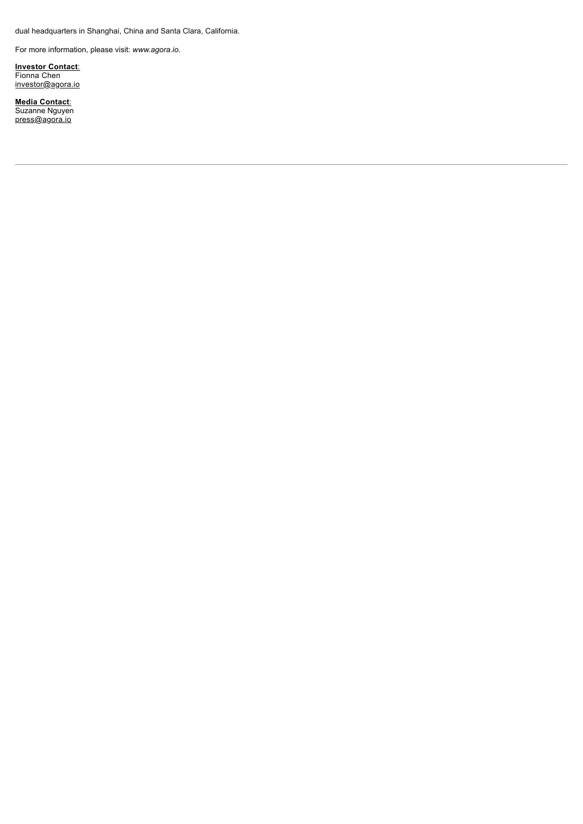dual headquarters in Shanghai, China and Santa Clara, California.

For more information, please visit: *www.agora.io*.

**Investor Contact**: Fionna Chen investor@agora.io

**Media Contact**: Suzanne Nguyen <u>press@agora.io</u>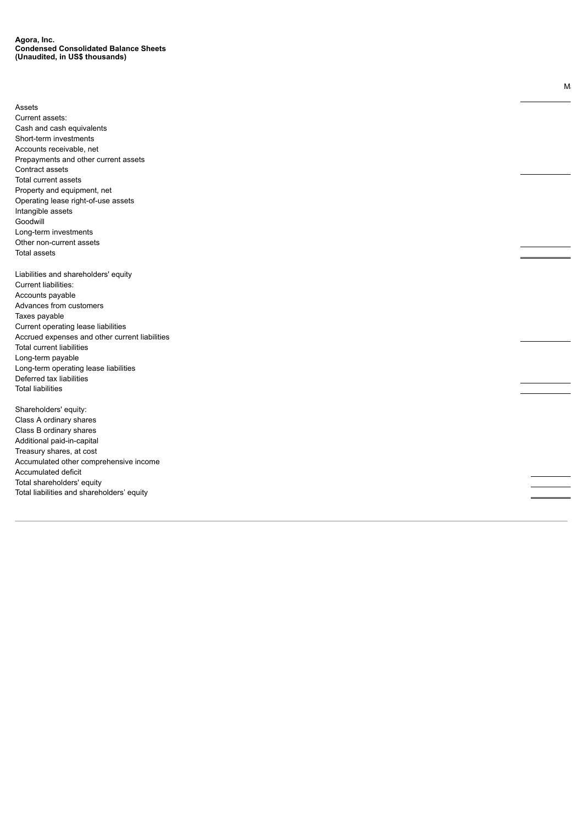Assets Current assets: Cash and cash equivalents Short-term investments Accounts receivable, net Prepayments and other current assets Contract assets Total current assets Property and equipment, net Operating lease right-of-use assets Intangible assets Goodwill Long-term investments Other non-current assets Total assets Liabilities and shareholders' equity Current liabilities: Accounts payable Advances from customers Taxes payable Current operating lease liabilities Accrued expenses and other current liabilities Total current liabilities Long-term payable Long-term operating lease liabilities Deferred tax liabilities Total liabilities Shareholders' equity: Class A ordinary shares Class B ordinary shares Additional paid-in-capital Treasury shares, at cost Accumulated other comprehensive income Accumulated deficit Total shareholders' equity Total liabilities and shareholders' equity

 $M_i$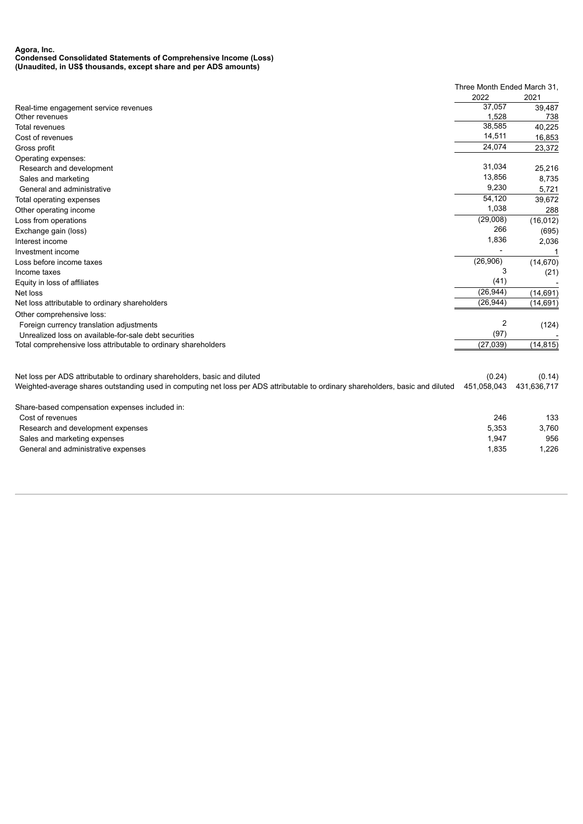#### **Agora, Inc. Condensed Consolidated Statements of Comprehensive Income (Loss) (Unaudited, in US\$ thousands, except share and per ADS amounts)**

|                                                                                                                                 | Three Month Ended March 31, |             |
|---------------------------------------------------------------------------------------------------------------------------------|-----------------------------|-------------|
|                                                                                                                                 | 2022                        | 2021        |
| Real-time engagement service revenues                                                                                           | 37,057                      | 39,487      |
| Other revenues                                                                                                                  | 1,528                       | 738         |
| Total revenues                                                                                                                  | 38,585                      | 40,225      |
| Cost of revenues                                                                                                                | 14,511                      | 16,853      |
| Gross profit                                                                                                                    | 24,074                      | 23,372      |
| Operating expenses:                                                                                                             |                             |             |
| Research and development                                                                                                        | 31,034                      | 25,216      |
| Sales and marketing                                                                                                             | 13,856                      | 8,735       |
| General and administrative                                                                                                      | 9,230                       | 5,721       |
| Total operating expenses                                                                                                        | 54,120                      | 39,672      |
| Other operating income                                                                                                          | 1,038                       | 288         |
| Loss from operations                                                                                                            | (29,008)                    | (16, 012)   |
| Exchange gain (loss)                                                                                                            | 266                         | (695)       |
| Interest income                                                                                                                 | 1,836                       | 2,036       |
| Investment income                                                                                                               |                             |             |
| Loss before income taxes                                                                                                        | (26,906)                    | (14, 670)   |
| Income taxes                                                                                                                    | 3                           | (21)        |
| Equity in loss of affiliates                                                                                                    | (41)                        |             |
| Net loss                                                                                                                        | (26, 944)                   | (14, 691)   |
| Net loss attributable to ordinary shareholders                                                                                  | (26, 944)                   | (14, 691)   |
| Other comprehensive loss:                                                                                                       |                             |             |
| Foreign currency translation adjustments                                                                                        | $\overline{2}$              | (124)       |
| Unrealized loss on available-for-sale debt securities                                                                           | (97)                        |             |
| Total comprehensive loss attributable to ordinary shareholders                                                                  | (27, 039)                   | (14, 815)   |
|                                                                                                                                 |                             |             |
| Net loss per ADS attributable to ordinary shareholders, basic and diluted                                                       | (0.24)                      | (0.14)      |
| Weighted-average shares outstanding used in computing net loss per ADS attributable to ordinary shareholders, basic and diluted | 451,058,043                 | 431,636,717 |
|                                                                                                                                 |                             |             |
| Share-based compensation expenses included in:                                                                                  |                             |             |
| Cost of revenues                                                                                                                | 246                         | 133         |
| Research and development expenses                                                                                               | 5,353                       | 3,760       |
| Sales and marketing expenses                                                                                                    | 1,947                       | 956         |
| General and administrative expenses                                                                                             | 1,835                       | 1,226       |
|                                                                                                                                 |                             |             |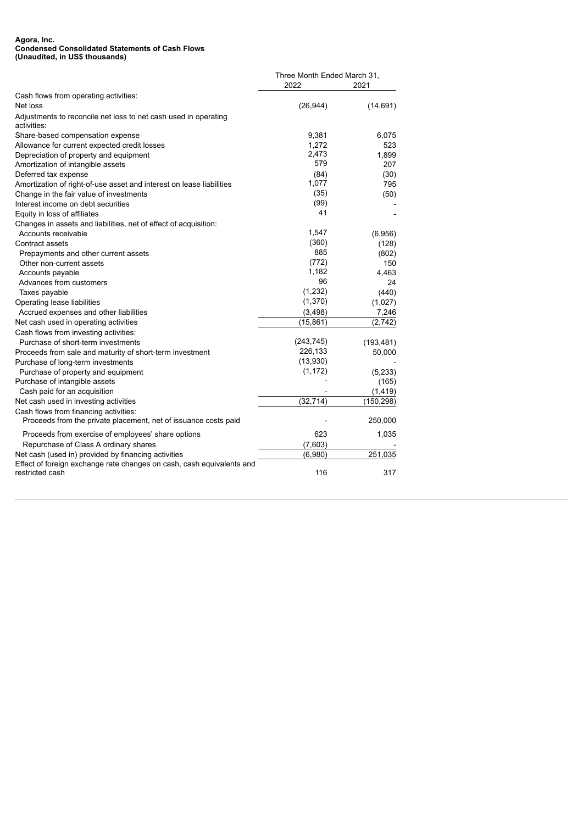#### **Agora, Inc. Condensed Consolidated Statements of Cash Flows (Unaudited, in US\$ thousands)**

|                                                                                                          |            | Three Month Ended March 31, |  |
|----------------------------------------------------------------------------------------------------------|------------|-----------------------------|--|
|                                                                                                          | 2022       | 2021                        |  |
| Cash flows from operating activities:                                                                    |            |                             |  |
| Net loss                                                                                                 | (26, 944)  | (14, 691)                   |  |
| Adjustments to reconcile net loss to net cash used in operating<br>activities:                           |            |                             |  |
| Share-based compensation expense                                                                         | 9,381      | 6,075                       |  |
| Allowance for current expected credit losses                                                             | 1,272      | 523                         |  |
| Depreciation of property and equipment                                                                   | 2,473      | 1,899                       |  |
| Amortization of intangible assets                                                                        | 579        | 207                         |  |
| Deferred tax expense                                                                                     | (84)       | (30)                        |  |
| Amortization of right-of-use asset and interest on lease liabilities                                     | 1,077      | 795                         |  |
| Change in the fair value of investments                                                                  | (35)       | (50)                        |  |
| Interest income on debt securities                                                                       | (99)       |                             |  |
| Equity in loss of affiliates                                                                             | 41         |                             |  |
| Changes in assets and liabilities, net of effect of acquisition:                                         |            |                             |  |
| Accounts receivable                                                                                      | 1,547      | (6,956)                     |  |
| Contract assets                                                                                          | (360)      | (128)                       |  |
| Prepayments and other current assets                                                                     | 885        | (802)                       |  |
| Other non-current assets                                                                                 | (772)      | 150                         |  |
| Accounts payable                                                                                         | 1,182      | 4,463                       |  |
| Advances from customers                                                                                  | 96         | 24                          |  |
| Taxes payable                                                                                            | (1,232)    | (440)                       |  |
| Operating lease liabilities                                                                              | (1,370)    | (1,027)                     |  |
| Accrued expenses and other liabilities                                                                   | (3, 498)   | 7,246                       |  |
| Net cash used in operating activities                                                                    | (15, 861)  | (2,742)                     |  |
| Cash flows from investing activities:                                                                    |            |                             |  |
| Purchase of short-term investments                                                                       | (243, 745) | (193, 481)                  |  |
| Proceeds from sale and maturity of short-term investment                                                 | 226,133    | 50,000                      |  |
| Purchase of long-term investments                                                                        | (13,930)   |                             |  |
| Purchase of property and equipment                                                                       | (1, 172)   | (5,233)                     |  |
| Purchase of intangible assets                                                                            |            | (165)                       |  |
| Cash paid for an acquisition                                                                             |            | (1, 419)                    |  |
| Net cash used in investing activities                                                                    | (32, 714)  | (150, 298)                  |  |
| Cash flows from financing activities:<br>Proceeds from the private placement, net of issuance costs paid |            | 250,000                     |  |
| Proceeds from exercise of employees' share options                                                       | 623        | 1,035                       |  |
| Repurchase of Class A ordinary shares                                                                    | (7,603)    |                             |  |
| Net cash (used in) provided by financing activities                                                      | (6,980)    | 251,035                     |  |
| Effect of foreign exchange rate changes on cash, cash equivalents and                                    |            |                             |  |
| restricted cash                                                                                          | 116        | 317                         |  |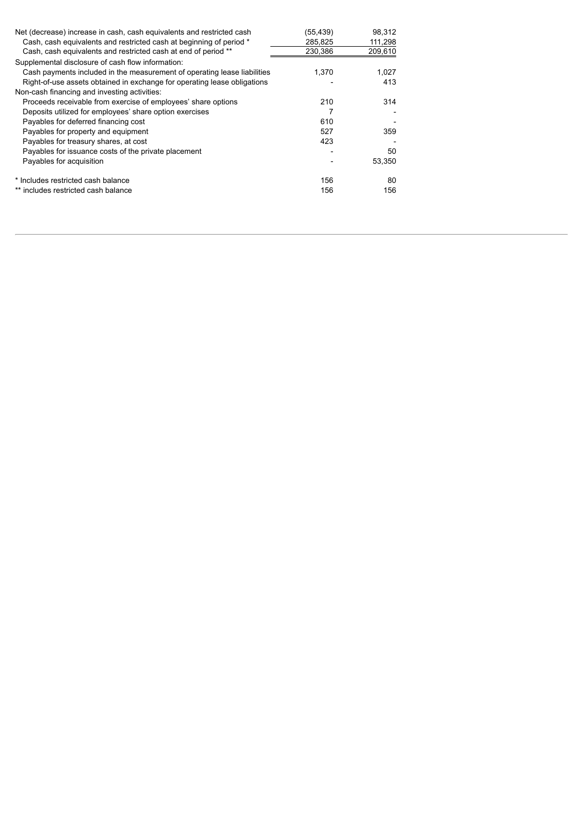| Net (decrease) increase in cash, cash equivalents and restricted cash<br>Cash, cash equivalents and restricted cash at beginning of period * | (55,439)<br>285,825 | 98,312<br>111,298 |
|----------------------------------------------------------------------------------------------------------------------------------------------|---------------------|-------------------|
| Cash, cash equivalents and restricted cash at end of period **                                                                               | 230,386             | 209,610           |
| Supplemental disclosure of cash flow information:                                                                                            |                     |                   |
| Cash payments included in the measurement of operating lease liabilities                                                                     | 1.370               | 1,027             |
| Right-of-use assets obtained in exchange for operating lease obligations                                                                     |                     | 413               |
| Non-cash financing and investing activities:                                                                                                 |                     |                   |
| Proceeds receivable from exercise of employees' share options                                                                                | 210                 | 314               |
| Deposits utilized for employees' share option exercises                                                                                      |                     |                   |
| Payables for deferred financing cost                                                                                                         | 610                 |                   |
| Payables for property and equipment                                                                                                          | 527                 | 359               |
| Payables for treasury shares, at cost                                                                                                        | 423                 |                   |
| Payables for issuance costs of the private placement                                                                                         |                     | 50                |
| Payables for acquisition                                                                                                                     |                     | 53.350            |
| * Includes restricted cash balance                                                                                                           | 156                 | 80                |
| ** includes restricted cash balance                                                                                                          | 156                 | 156               |